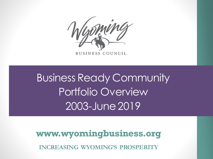

Business Ready Community Portfolio Overview 2003-June 2019

**INCREASING WYOMING'S PROSPERITY www.wyomingbusiness.org**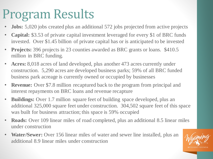## Program Results

- **Jobs:** 5,020 jobs created plus an additional 572 jobs projected from active projects
- **Capital:** \$3.53 of private capital investment leveraged for every \$1 of BRC funds invested. Over \$1.45 billion of private capital has or is anticipated to be invested
- **Projects:** 396 projects in 23 counties awarded as BRC grants or loans. \$410.5 million in BRC funding.
- **Acres:** 8,018 acres of land developed, plus another 473 acres currently under construction. 5,290 acres are developed business parks; 59% of all BRC funded business park acreage is currently owned or occupied by businesses
- **Revenue:** Over \$7.8 million recaptured back to the program from principal and interest repayments on BRC loans and revenue recapture
- **Buildings:** Over 1.7 million square feet of building space developed, plus an additional 325,000 square feet under construction. 304,502 square feet of this space was built for business attraction; this space is 59% occupied
- **Roads:** Over 109 linear miles of road completed, plus an additional 8.5 linear miles under construction
- **Water/Sewer:** Over 156 linear miles of water and sewer line installed, plus an additional 8.9 linear miles under construction

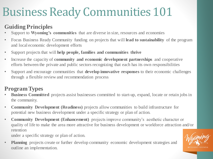#### Business Ready Communities 101

#### **Guiding Principles**

- Support to **Wyoming's communities** that are diverse in size, resources and economies
- Focus Business Ready Community funding on projects that will **lead to sustainability** of the program and local economic development efforts
- Support projects that will **help people, families and communities thrive**
- Increase the capacity of **community and economic development partnerships** and cooperative efforts between the private and public sectors recognizing that each has its own responsibilities
- Support and encourage communities that **develop innovative responses** to their economic challenges through a flexible review and recommendation process

#### **Program Types**

- **Business Committed** projects assist businesses committed to start-up, expand, locate or retain jobs in the community.
- **Community Development (Readiness)** projects allow communities to build infrastructure for potential new business development under a specific strategy or plan of action.
- **Community Development (Enhancement)** projects improve community's aesthetic character or quality of life to make the area more attractive for business development or workforce attraction and/or retention

under a specific strategy or plan of action.

**Planning** projects create or further develop community economic development strategies and outline an implementation.

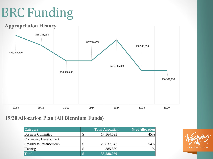# BRC Funding



#### **19/20 Allocation Plan (All Biennium Funds)**

| <b>Category</b>           |     | <b>Total Allocation</b> | % of Allocation |
|---------------------------|-----|-------------------------|-----------------|
| <b>Business Committed</b> | τIJ | 17,364,623              | 45%             |
| Community Development     |     |                         |                 |
| (Readiness/Enhancement)   |     | 20,837,547              | 54%             |
| Planning                  |     | 385,880                 | 1%              |
| <b>Total</b>              |     | $\sqrt{38,588,050}$     |                 |

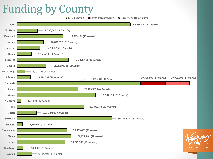#### Funding by County

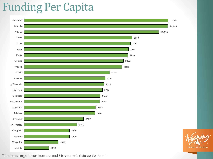#### Funding Per Capita



**BUSINESS COUNCIL** 

\*Includes large infrastructure and Governor's data center funds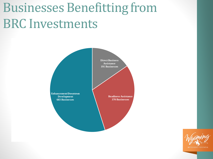## Businesses Benefitting from BRC Investments



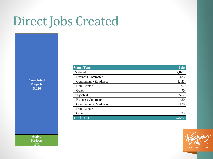### Direct Jobs Created

**Completed Projects 5,020** 

> **Active Projects 572**

| <b>Status/Type</b>          | <b>Jobs</b> |
|-----------------------------|-------------|
| Realized                    | 5,020       |
| <b>Business Committed</b>   | 3,433       |
| <b>Commmunity Readiness</b> | 1,421       |
| Data Center                 | 97          |
| Other                       | 70          |
| Projected                   | 572         |
| <b>Business Committed</b>   | 430         |
| <b>Commmunity Readiness</b> | 120         |
| Data Center                 |             |
| Other                       | 23          |
| <b>Total Jobs</b>           | 5,592       |

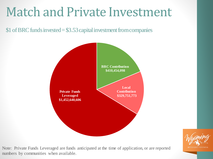### Match and Private Investment

\$1 of BRC funds invested = \$3.53 capital investment from companies





Note: Private Funds Leveraged are funds anticipated at the time of application, or are reported numbers by communities when available.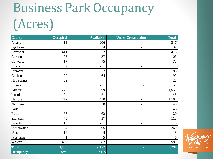# Business Park Occupancy (Acres)

| <b>County</b>      | <b>Occupied</b> | <b>Available</b>         | <b>Under Construction</b> | <b>Total</b>   |
|--------------------|-----------------|--------------------------|---------------------------|----------------|
| Albany             | 11              | 206                      |                           | 217            |
| <b>Big Horn</b>    | 108             | 24                       | $\overline{\phantom{a}}$  | 132            |
| Campbell           | 411             | $\overline{2}$           | $\overline{\phantom{a}}$  | 413            |
| Carbon             | 23              | 37                       | $\overline{\phantom{a}}$  | 103            |
| Converse           | 17              | 75                       | $\overline{\phantom{a}}$  | 72             |
| Crook              | 7               | $\overline{\phantom{0}}$ | $\overline{\phantom{a}}$  | $\overline{7}$ |
| Fremont            | 32              | 57                       | $\overline{\phantom{a}}$  | 88             |
| Goshen             | 29              | 64                       | $\overline{\phantom{a}}$  | 92             |
| <b>Hot Springs</b> | 22              | $\overline{\phantom{0}}$ | $\overline{\phantom{a}}$  | 22             |
| Johnson            | 3               | $\overline{a}$           | 50                        | 53             |
| Laramie            | 779             | 769                      | -                         | 1,551          |
| Lincoln            | 24              | 21                       | $\overline{\phantom{a}}$  | 45             |
| Natrona            | 772             | 410                      | $\overline{\phantom{a}}$  | 1,182          |
| Niobrara           | 5               | 38                       | $\overline{\phantom{a}}$  | 43             |
| Park               | 95              | 51                       | $\overline{\phantom{a}}$  | 146            |
| Platte             | 58              | 62                       | $\overline{\phantom{a}}$  | 120            |
| Sheridan           | 75              | 37                       | $\overline{\phantom{a}}$  | 112            |
| Sublette           | 18              | $\overline{\phantom{a}}$ | $\overline{\phantom{a}}$  | 18             |
| Sweetwater         | 64              | 205                      | $\overline{\phantom{a}}$  | 269            |
| Uinta              | 14              | 4                        | $\overline{\phantom{a}}$  | 18             |
| Washakie           | $\mathbf{1}$    | 5                        | $\overline{\phantom{a}}$  | 6              |
| Weston             | 493             | 87                       | $\overline{\phantom{a}}$  | 580            |
| <b>Total</b>       | 3,060           | 2,152                    | 50                        | 5,290          |
| <b>Occupancy</b>   | 59%             | $41\%$                   |                           |                |

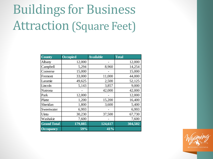# Buildings for Business Attraction (Square Feet)

| <b>County</b>      | <b>Occupied</b> | <b>Available</b> | <b>Total</b> |
|--------------------|-----------------|------------------|--------------|
| Albany             | 12,000          |                  | 12,000       |
| Campbell           | 5,294           | 8,960            | 14,254       |
| Converse           | 15,000          |                  | 15,000       |
| Fremont            | 33,000          | 11,000           | 44,000       |
| Laramie            | 49,625          | 2,500            | 52,125       |
| Lincoln            | 5,143           | 3,857            | 9,000        |
| Natrona            |                 | 42,000           | 42,000       |
| Park               | 12,000          |                  | 12,000       |
| Platte             | 1,200           | 15,200           | 16,400       |
| Sheridan           | 1,800           | 3,600            | 5,400        |
| Sweetwater         | 6,993           |                  | 6,993        |
| Uinta              | 30,230          | 37,500           | 67,730       |
| Washakie           | 7,600           |                  | 7,600        |
| <b>Grand Total</b> | 179,885         | 124,617          | 304,502      |
| <b>Occupancy</b>   | 59%             | 41%              |              |

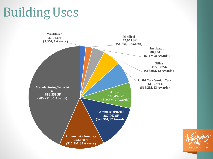## Building Uses



**BUSINESS COUNCIL**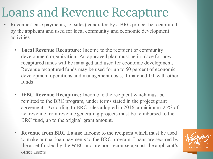## Loans and Revenue Recapture

- Revenue (lease payments, lot sales) generated by a BRC project be recaptured by the applicant and used for local community and economic development activities
	- **Local Revenue Recapture:** Income to the recipient or community development organization. An approved plan must be in place for how recaptured funds will be managed and used for economic development. Revenue recaptured funds may be used for up to 50 percent of economic development operations and management costs, if matched 1:1 with other funds
	- **WBC Revenue Recapture:** Income to the recipient which must be remitted to the BRC program, under terms stated in the project grant agreement. According to BRC rules adopted in 2016, a minimum 25% of net revenue from revenue generating projects must be reimbursed to the BRC fund, up to the original grant amount.
	- **Revenue from BRC Loans:** Income to the recipient which must be used to make annual loan payments to the BRC program. Loans are secured by the asset funded by the WBC and are non-recourse against the applicant's other assets

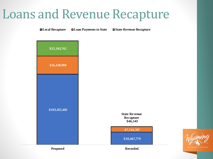#### Loans and Revenue Recapture